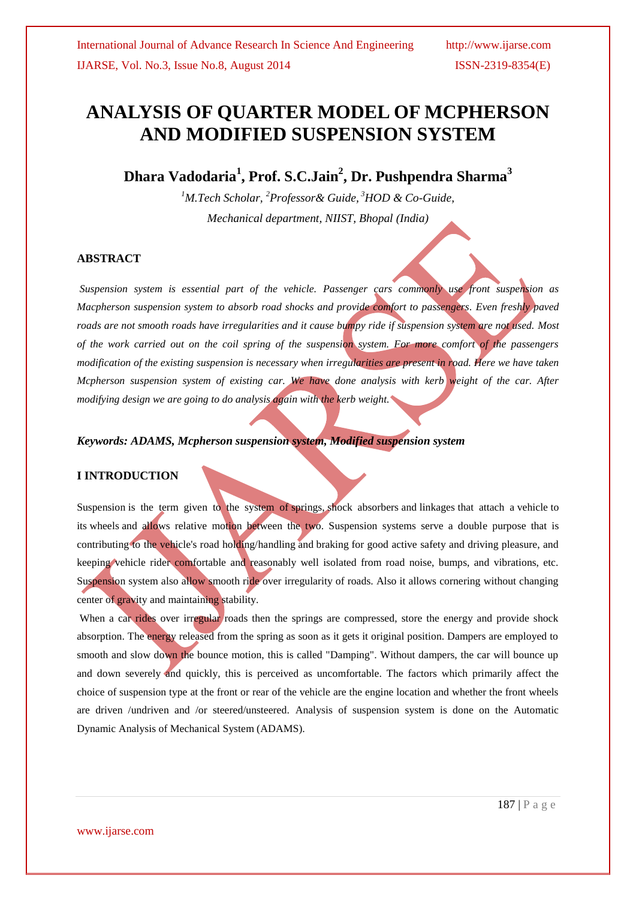# **ANALYSIS OF QUARTER MODEL OF MCPHERSON AND MODIFIED SUSPENSION SYSTEM**

**Dhara Vadodaria<sup>1</sup> , Prof. S.C.Jain<sup>2</sup> , Dr. Pushpendra Sharma<sup>3</sup>**

*<sup>1</sup>M.Tech Scholar, <sup>2</sup>Professor& Guide, <sup>3</sup>HOD & Co-Guide, Mechanical department, NIIST, Bhopal (India)*

## **ABSTRACT**

*Suspension system is essential part of the vehicle. Passenger cars commonly use front suspension as Macpherson suspension system to absorb road shocks and provide comfort to passengers. Even freshly paved roads are not smooth roads have irregularities and it cause bumpy ride if suspension system are not used. Most of the work carried out on the coil spring of the suspension system. For more comfort of the passengers modification of the existing suspension is necessary when irregularities are present in road. Here we have taken Mcpherson suspension system of existing car. We have done analysis with kerb weight of the car. After modifying design we are going to do analysis again with the kerb weight.* 

## *Keywords: ADAMS, Mcpherson suspension system, Modified suspension system*

# **I INTRODUCTION**

Suspension is the term given to the system of springs, shock absorbers and linkages that attach a vehicle to its wheels and allows relative motion between the two. Suspension systems serve a double purpose that is contributing to the vehicle's road holding/handling and braking for good active safety and driving pleasure, and keeping vehicle rider comfortable and reasonably well isolated from road noise, bumps, and vibrations, etc. Suspension system also allow smooth ride over irregularity of roads. Also it allows cornering without changing center of gravity and maintaining stability.

When a car rides over irregular roads then the springs are compressed, store the energy and provide shock absorption. The energy released from the spring as soon as it gets it original position. Dampers are employed to smooth and slow down the bounce motion, this is called "Damping". Without dampers, the car will bounce up and down severely and quickly, this is perceived as uncomfortable. The factors which primarily affect the choice of suspension type at the front or rear of the vehicle are the engine location and whether the front wheels are driven /undriven and /or steered/unsteered. Analysis of suspension system is done on the Automatic Dynamic Analysis of Mechanical System (ADAMS).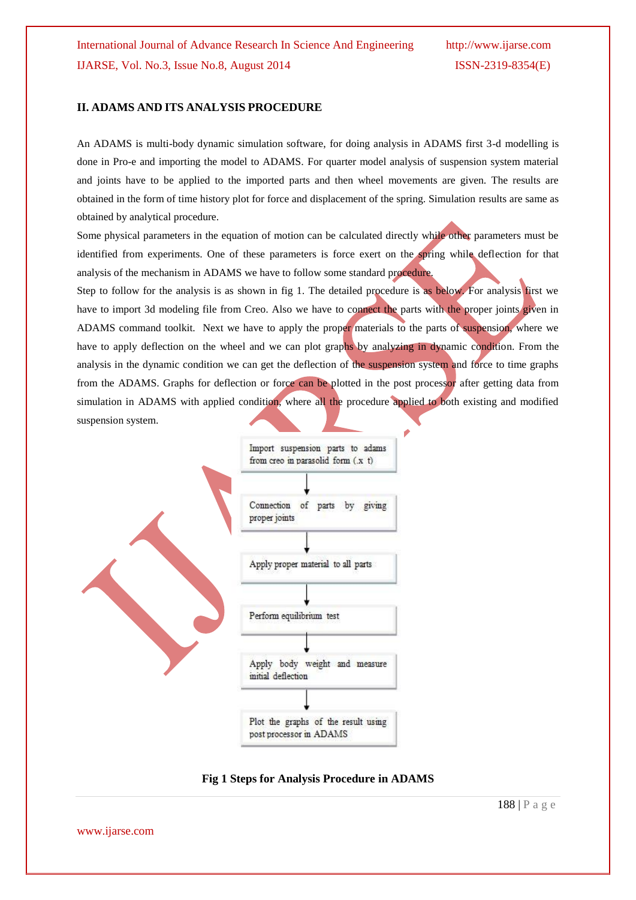#### **II. ADAMS AND ITS ANALYSIS PROCEDURE**

An ADAMS is multi-body dynamic simulation software, for doing analysis in ADAMS first 3-d modelling is done in Pro-e and importing the model to ADAMS. For quarter model analysis of suspension system material and joints have to be applied to the imported parts and then wheel movements are given. The results are obtained in the form of time history plot for force and displacement of the spring. Simulation results are same as obtained by analytical procedure.

Some physical parameters in the equation of motion can be calculated directly while other parameters must be identified from experiments. One of these parameters is force exert on the spring while deflection for that analysis of the mechanism in ADAMS we have to follow some standard procedure.

Step to follow for the analysis is as shown in fig 1. The detailed procedure is as below. For analysis first we have to import 3d modeling file from Creo. Also we have to connect the parts with the proper joints given in ADAMS command toolkit. Next we have to apply the proper materials to the parts of suspension, where we have to apply deflection on the wheel and we can plot graphs by analyzing in dynamic condition. From the analysis in the dynamic condition we can get the deflection of the suspension system and force to time graphs from the ADAMS. Graphs for deflection or force can be plotted in the post processor after getting data from simulation in ADAMS with applied condition, where all the procedure applied to both existing and modified suspension system.



**Fig 1 Steps for Analysis Procedure in ADAMS**

www.ijarse.com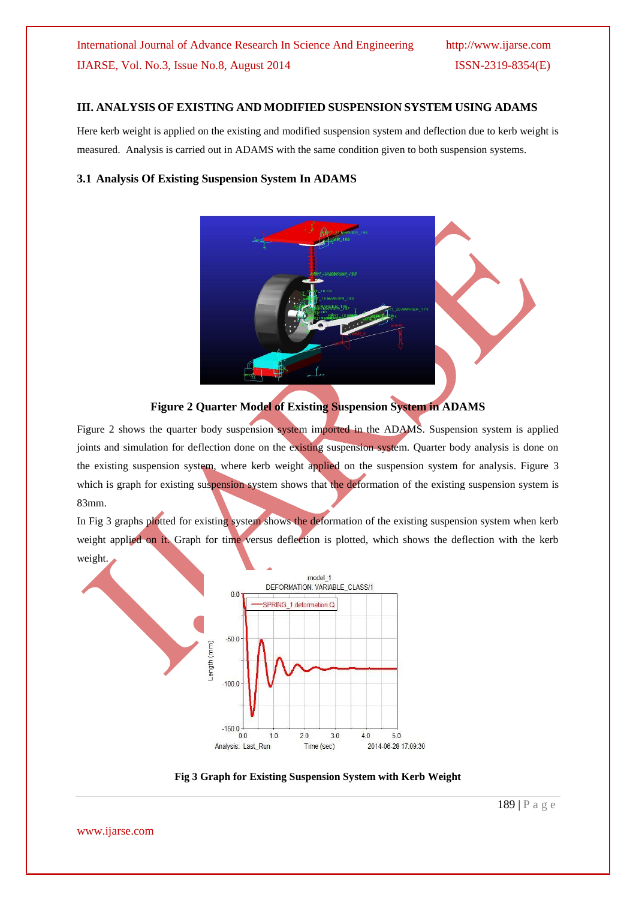# **III. ANALYSIS OF EXISTING AND MODIFIED SUSPENSION SYSTEM USING ADAMS**

Here kerb weight is applied on the existing and modified suspension system and deflection due to kerb weight is measured. Analysis is carried out in ADAMS with the same condition given to both suspension systems.

## **3.1 Analysis Of Existing Suspension System In ADAMS**





Figure 2 shows the quarter body suspension system imported in the ADAMS. Suspension system is applied joints and simulation for deflection done on the existing suspension system. Quarter body analysis is done on the existing suspension system, where kerb weight applied on the suspension system for analysis. Figure 3 which is graph for existing suspension system shows that the deformation of the existing suspension system is 83mm.

In Fig 3 graphs plotted for existing system shows the deformation of the existing suspension system when kerb weight applied on it. Graph for time versus deflection is plotted, which shows the deflection with the kerb weight.



**Fig 3 Graph for Existing Suspension System with Kerb Weight**

www.ijarse.com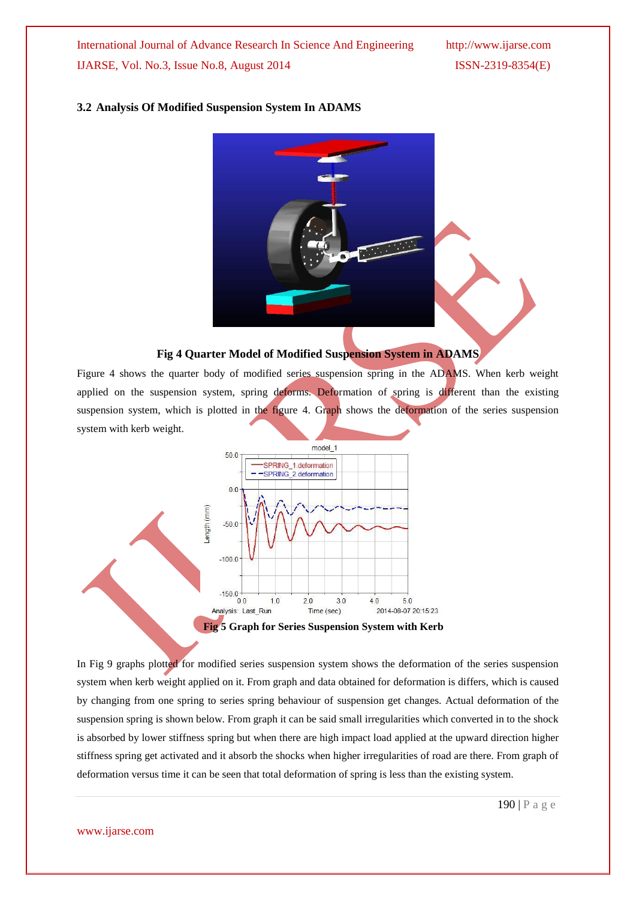International Journal of Advance Research In Science And Engineering http://www.ijarse.com IJARSE, Vol. No.3, Issue No.8, August 2014 ISSN-2319-8354(E)

#### **3.2 Analysis Of Modified Suspension System In ADAMS**



#### **Fig 4 Quarter Model of Modified Suspension System in ADAMS**

Figure 4 shows the quarter body of modified series suspension spring in the ADAMS. When kerb weight applied on the suspension system, spring deforms. Deformation of spring is different than the existing suspension system, which is plotted in the figure 4. Graph shows the deformation of the series suspension system with kerb weight.



In Fig 9 graphs plotted for modified series suspension system shows the deformation of the series suspension system when kerb weight applied on it. From graph and data obtained for deformation is differs, which is caused by changing from one spring to series spring behaviour of suspension get changes. Actual deformation of the suspension spring is shown below. From graph it can be said small irregularities which converted in to the shock is absorbed by lower stiffness spring but when there are high impact load applied at the upward direction higher stiffness spring get activated and it absorb the shocks when higher irregularities of road are there. From graph of deformation versus time it can be seen that total deformation of spring is less than the existing system.

www.ijarse.com